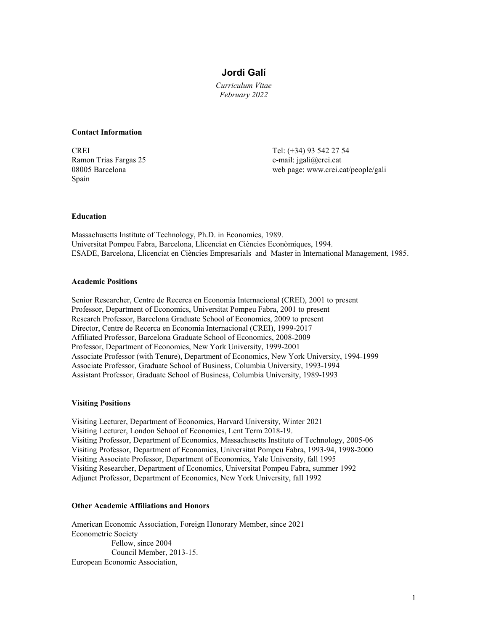# **Jordi Galí**

*Curriculum Vitae February 2022*

#### **Contact Information**

CREI Tel: (+34) 93 542 27 54 Ramon Trias Fargas 25 e-mail: jgali@crei.cat Spain

08005 Barcelona web page: www.crei.cat/people/gali

### **Education**

Massachusetts Institute of Technology, Ph.D. in Economics, 1989. Universitat Pompeu Fabra, Barcelona, Llicenciat en Ciències Econòmiques, 1994. ESADE, Barcelona, Llicenciat en Ciències Empresarials and Master in International Management, 1985.

#### **Academic Positions**

Senior Researcher, Centre de Recerca en Economia Internacional (CREI), 2001 to present Professor, Department of Economics, Universitat Pompeu Fabra, 2001 to present Research Professor, Barcelona Graduate School of Economics, 2009 to present Director, Centre de Recerca en Economia Internacional (CREI), 1999-2017 Affiliated Professor, Barcelona Graduate School of Economics, 2008-2009 Professor, Department of Economics, New York University, 1999-2001 Associate Professor (with Tenure), Department of Economics, New York University, 1994-1999 Associate Professor, Graduate School of Business, Columbia University, 1993-1994 Assistant Professor, Graduate School of Business, Columbia University, 1989-1993

### **Visiting Positions**

Visiting Lecturer, Department of Economics, Harvard University, Winter 2021 Visiting Lecturer, London School of Economics, Lent Term 2018-19. Visiting Professor, Department of Economics, Massachusetts Institute of Technology, 2005-06 Visiting Professor, Department of Economics, Universitat Pompeu Fabra, 1993-94, 1998-2000 Visiting Associate Professor, Department of Economics, Yale University, fall 1995 Visiting Researcher, Department of Economics, Universitat Pompeu Fabra, summer 1992 Adjunct Professor, Department of Economics, New York University, fall 1992

# **Other Academic Affiliations and Honors**

American Economic Association, Foreign Honorary Member, since 2021 Econometric Society Fellow, since 2004 Council Member, 2013-15. European Economic Association,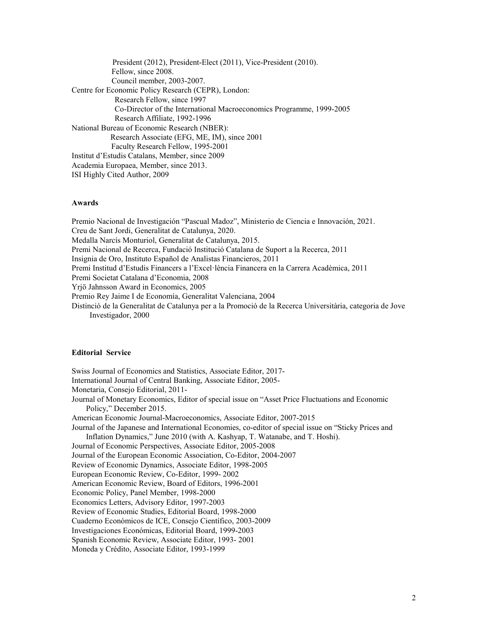| President (2012), President-Elect (2011), Vice-President (2010).     |
|----------------------------------------------------------------------|
| Fellow, since 2008.                                                  |
| Council member, 2003-2007.                                           |
| Centre for Economic Policy Research (CEPR), London:                  |
| Research Fellow, since 1997                                          |
| Co-Director of the International Macroeconomics Programme, 1999-2005 |
| Research Affiliate, 1992-1996                                        |
| National Bureau of Economic Research (NBER):                         |
| Research Associate (EFG, ME, IM), since 2001                         |
| Faculty Research Fellow, 1995-2001                                   |
| Institut d'Estudis Catalans, Member, since 2009                      |
| Academia Europaea, Member, since 2013.                               |
| ISI Highly Cited Author, 2009                                        |

#### **Awards**

Premio Nacional de Investigación "Pascual Madoz", Ministerio de Ciencia e Innovación, 2021. Creu de Sant Jordi, Generalitat de Catalunya, 2020. Medalla Narcís Monturiol, Generalitat de Catalunya, 2015. Premi Nacional de Recerca, Fundació Institució Catalana de Suport a la Recerca, 2011 Insignia de Oro, Instituto Español de Analistas Financieros, 2011 Premi Institud d'Estudis Financers a l'Excel·lència Financera en la Carrera Acadèmica, 2011 Premi Societat Catalana d'Economia, 2008 Yrjö Jahnsson Award in Economics, 2005 Premio Rey Jaime I de Economía, Generalitat Valenciana, 2004 Distinció de la Generalitat de Catalunya per a la Promoció de la Recerca Universitària, categoria de Jove Investigador, 2000

#### **Editorial Service**

Swiss Journal of Economics and Statistics, Associate Editor, 2017- International Journal of Central Banking, Associate Editor, 2005- Monetaria, Consejo Editorial, 2011- Journal of Monetary Economics, Editor of special issue on "Asset Price Fluctuations and Economic Policy," December 2015. American Economic Journal-Macroeconomics, Associate Editor, 2007-2015 Journal of the Japanese and International Economies, co-editor of special issue on "Sticky Prices and Inflation Dynamics," June 2010 (with A. Kashyap, T. Watanabe, and T. Hoshi). Journal of Economic Perspectives, Associate Editor, 2005-2008 Journal of the European Economic Association, Co-Editor, 2004-2007 Review of Economic Dynamics, Associate Editor, 1998-2005 European Economic Review, Co-Editor, 1999- 2002 American Economic Review, Board of Editors, 1996-2001 Economic Policy, Panel Member, 1998-2000 Economics Letters, Advisory Editor, 1997-2003 Review of Economic Studies, Editorial Board, 1998-2000 Cuaderno Económicos de ICE, Consejo Científico, 2003-2009 Investigaciones Económicas, Editorial Board, 1999-2003 Spanish Economic Review, Associate Editor, 1993- 2001 Moneda y Crédito, Associate Editor, 1993-1999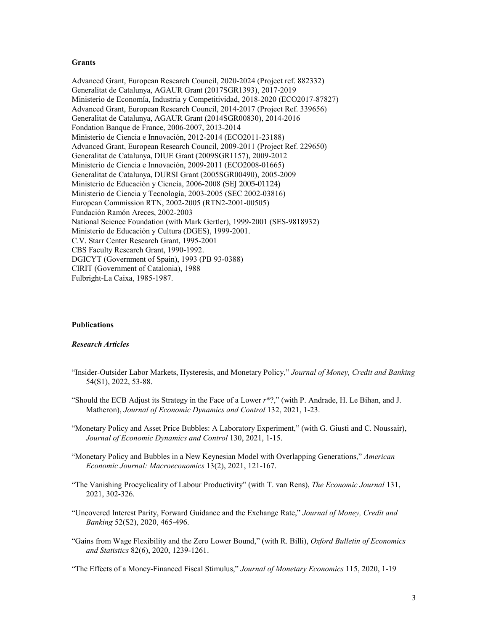#### **Grants**

Advanced Grant, European Research Council, 2020-2024 (Project ref. 882332) Generalitat de Catalunya, AGAUR Grant (2017SGR1393), 2017-2019 Ministerio de Economía, Industria y Competitividad, 2018-2020 (ECO2017-87827) Advanced Grant, European Research Council, 2014-2017 (Project Ref. 339656) Generalitat de Catalunya, AGAUR Grant (2014SGR00830), 2014-2016 Fondation Banque de France, 2006-2007, 2013-2014 Ministerio de Ciencia e Innovación, 2012-2014 (ECO2011-23188) Advanced Grant, European Research Council, 2009-2011 (Project Ref. 229650) Generalitat de Catalunya, DIUE Grant (2009SGR1157), 2009-2012 Ministerio de Ciencia e Innovación, 2009-2011 (ECO2008-01665) Generalitat de Catalunya, DURSI Grant (2005SGR00490), 2005-2009 Ministerio de Educación y Ciencia, 2006-2008 (SEJ 2005-01124) Ministerio de Ciencia y Tecnología, 2003-2005 (SEC 2002-03816) European Commission RTN, 2002-2005 (RTN2-2001-00505) Fundación Ramón Areces, 2002-2003 National Science Foundation (with Mark Gertler), 1999-2001 (SES-9818932) Ministerio de Educación y Cultura (DGES), 1999-2001. C.V. Starr Center Research Grant, 1995-2001 CBS Faculty Research Grant, 1990-1992. DGICYT (Government of Spain), 1993 (PB 93-0388) CIRIT (Government of Catalonia), 1988 Fulbright-La Caixa, 1985-1987.

# **Publications**

### *Research Articles*

- "Insider-Outsider Labor Markets, Hysteresis, and Monetary Policy," *Journal of Money, Credit and Banking* 54(S1), 2022, 53-88.
- "Should the ECB Adjust its Strategy in the Face of a Lower *r*\*?," (with P. Andrade, H. Le Bihan, and J. Matheron), *Journal of Economic Dynamics and Control* 132, 2021, 1-23.
- "Monetary Policy and Asset Price Bubbles: A Laboratory Experiment," (with G. Giusti and C. Noussair), *Journal of Economic Dynamics and Control* 130, 2021, 1-15.
- "Monetary Policy and Bubbles in a New Keynesian Model with Overlapping Generations," *American Economic Journal: Macroeconomics* 13(2), 2021, 121-167.
- "The Vanishing Procyclicality of Labour Productivity" (with T. van Rens), *The Economic Journal* 131, 2021, 302-326.
- "Uncovered Interest Parity, Forward Guidance and the Exchange Rate," *Journal of Money, Credit and Banking* 52(S2), 2020, 465-496.
- "Gains from Wage Flexibility and the Zero Lower Bound," (with R. Billi), *Oxford Bulletin of Economics and Statistics* 82(6), 2020, 1239-1261.

"The Effects of a Money-Financed Fiscal Stimulus," *Journal of Monetary Economics* 115, 2020, 1-19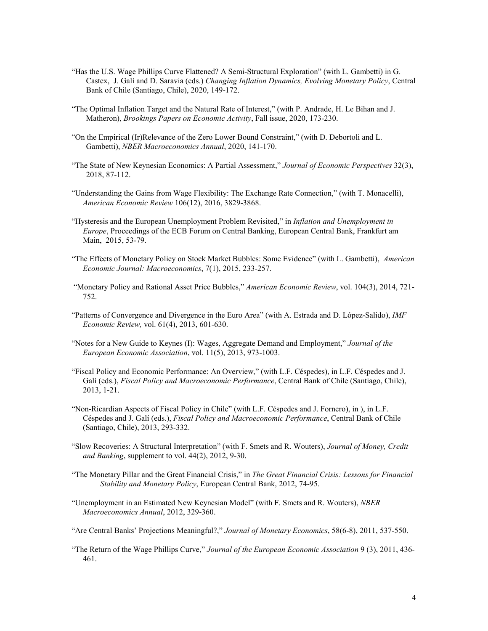- "Has the U.S. Wage Phillips Curve Flattened? A Semi-Structural Exploration" (with L. Gambetti) in G. Castex, J. Galí and D. Saravia (eds.) *Changing Inflation Dynamics, Evolving Monetary Policy*, Central Bank of Chile (Santiago, Chile), 2020, 149-172.
- "The Optimal Inflation Target and the Natural Rate of Interest," (with P. Andrade, H. Le Bihan and J. Matheron), *Brookings Papers on Economic Activity*, Fall issue, 2020, 173-230.
- "On the Empirical (Ir)Relevance of the Zero Lower Bound Constraint," (with D. Debortoli and L. Gambetti), *NBER Macroeconomics Annual*, 2020, 141-170.
- "The State of New Keynesian Economics: A Partial Assessment," *Journal of Economic Perspectives* 32(3), 2018, 87-112.
- "Understanding the Gains from Wage Flexibility: The Exchange Rate Connection," (with T. Monacelli), *American Economic Review* 106(12), 2016, 3829-3868.
- "Hysteresis and the European Unemployment Problem Revisited," in *Inflation and Unemployment in Europe*, Proceedings of the ECB Forum on Central Banking, European Central Bank, Frankfurt am Main, 2015, 53-79.
- "The Effects of Monetary Policy on Stock Market Bubbles: Some Evidence" (with L. Gambetti), *American Economic Journal: Macroeconomics*, 7(1), 2015, 233-257.
- "Monetary Policy and Rational Asset Price Bubbles," *American Economic Review*, vol. 104(3), 2014, 721- 752.
- "Patterns of Convergence and Divergence in the Euro Area" (with A. Estrada and D. López-Salido), *IMF Economic Review,* vol. 61(4), 2013, 601-630.
- "Notes for a New Guide to Keynes (I): Wages, Aggregate Demand and Employment," *Journal of the European Economic Association*, vol. 11(5), 2013, 973-1003.
- "Fiscal Policy and Economic Performance: An Overview," (with L.F. Céspedes), in L.F. Céspedes and J. Galí (eds.), *Fiscal Policy and Macroeconomic Performance*, Central Bank of Chile (Santiago, Chile), 2013, 1-21.
- "Non-Ricardian Aspects of Fiscal Policy in Chile" (with L.F. Céspedes and J. Fornero), in ), in L.F. Céspedes and J. Galí (eds.), *Fiscal Policy and Macroeconomic Performance*, Central Bank of Chile (Santiago, Chile), 2013, 293-332.
- "Slow Recoveries: A Structural Interpretation" (with F. Smets and R. Wouters), *Journal of Money, Credit and Banking*, supplement to vol. 44(2), 2012, 9-30.
- "The Monetary Pillar and the Great Financial Crisis," in *The Great Financial Crisis: Lessons for Financial Stability and Monetary Policy*, European Central Bank, 2012, 74-95.
- "Unemployment in an Estimated New Keynesian Model" (with F. Smets and R. Wouters), *NBER Macroeconomics Annual*, 2012, 329-360.
- "Are Central Banks' Projections Meaningful?," *Journal of Monetary Economics*, 58(6-8), 2011, 537-550.
- "The Return of the Wage Phillips Curve," *Journal of the European Economic Association* 9 (3), 2011, 436- 461.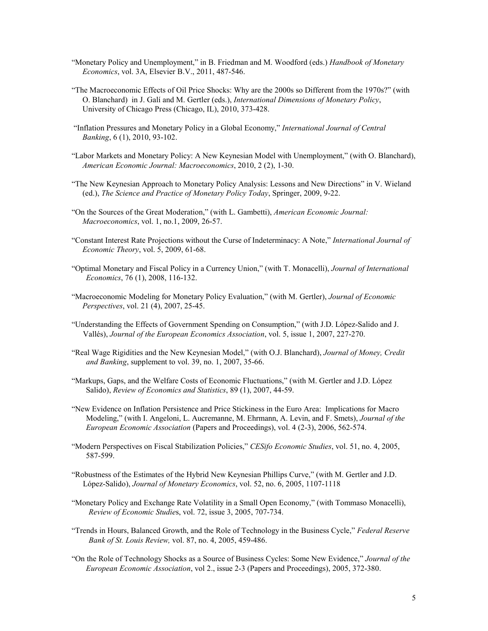- "Monetary Policy and Unemployment," in B. Friedman and M. Woodford (eds.) *Handbook of Monetary Economics*, vol. 3A, Elsevier B.V., 2011, 487-546.
- "The Macroeconomic Effects of Oil Price Shocks: Why are the 2000s so Different from the 1970s?" (with O. Blanchard) in J. Galí and M. Gertler (eds.), *International Dimensions of Monetary Policy*, University of Chicago Press (Chicago, IL), 2010, 373-428.
- "Inflation Pressures and Monetary Policy in a Global Economy," *International Journal of Central Banking*, 6 (1), 2010, 93-102.
- "Labor Markets and Monetary Policy: A New Keynesian Model with Unemployment," (with O. Blanchard), *American Economic Journal: Macroeconomics*, 2010, 2 (2), 1-30.
- "The New Keynesian Approach to Monetary Policy Analysis: Lessons and New Directions" in V. Wieland (ed.), *The Science and Practice of Monetary Policy Today*, Springer, 2009, 9-22.
- "On the Sources of the Great Moderation," (with L. Gambetti), *American Economic Journal: Macroeconomics*, vol. 1, no.1, 2009, 26-57.
- "Constant Interest Rate Projections without the Curse of Indeterminacy: A Note," *International Journal of Economic Theory*, vol. 5, 2009, 61-68.
- "Optimal Monetary and Fiscal Policy in a Currency Union," (with T. Monacelli), *Journal of International Economics*, 76 (1), 2008, 116-132.
- "Macroeconomic Modeling for Monetary Policy Evaluation," (with M. Gertler), *Journal of Economic Perspectives*, vol. 21 (4), 2007, 25-45.
- "Understanding the Effects of Government Spending on Consumption," (with J.D. López-Salido and J. Vallés), *Journal of the European Economics Association*, vol. 5, issue 1, 2007, 227-270.
- "Real Wage Rigidities and the New Keynesian Model," (with O.J. Blanchard), *Journal of Money, Credit and Banking*, supplement to vol. 39, no. 1, 2007, 35-66.
- "Markups, Gaps, and the Welfare Costs of Economic Fluctuations," (with M. Gertler and J.D. López Salido), *Review of Economics and Statistics*, 89 (1), 2007, 44-59.
- "New Evidence on Inflation Persistence and Price Stickiness in the Euro Area: Implications for Macro Modeling," (with I. Angeloni, L. Aucremanne, M. Ehrmann, A. Levin, and F. Smets), *Journal of the European Economic Association* (Papers and Proceedings), vol. 4 (2-3), 2006, 562-574.
- "Modern Perspectives on Fiscal Stabilization Policies," *CESifo Economic Studies*, vol. 51, no. 4, 2005, 587-599.
- "Robustness of the Estimates of the Hybrid New Keynesian Phillips Curve," (with M. Gertler and J.D. López-Salido), *Journal of Monetary Economics*, vol. 52, no. 6, 2005, 1107-1118
- "Monetary Policy and Exchange Rate Volatility in a Small Open Economy," (with Tommaso Monacelli), *Review of Economic Studie*s, vol. 72, issue 3, 2005, 707-734.
- "Trends in Hours, Balanced Growth, and the Role of Technology in the Business Cycle," *Federal Reserve Bank of St. Louis Review,* vol. 87, no. 4, 2005, 459-486.
- "On the Role of Technology Shocks as a Source of Business Cycles: Some New Evidence," *Journal of the European Economic Association*, vol 2., issue 2-3 (Papers and Proceedings), 2005, 372-380.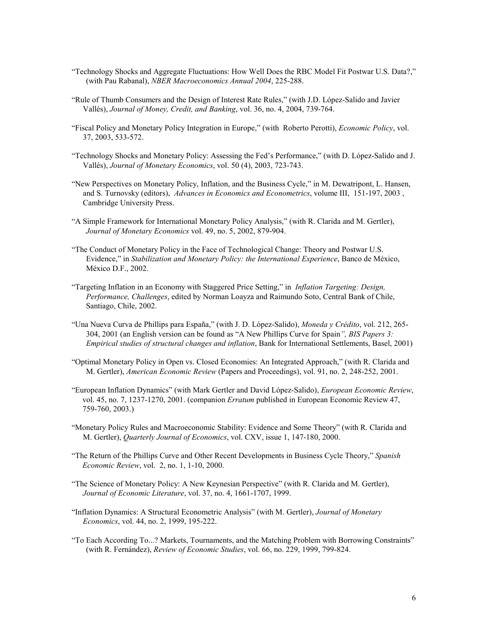- "Technology Shocks and Aggregate Fluctuations: How Well Does the RBC Model Fit Postwar U.S. Data?," (with Pau Rabanal), *NBER Macroeconomics Annual 2004*, 225-288.
- "Rule of Thumb Consumers and the Design of Interest Rate Rules," (with J.D. López-Salido and Javier Vallés), *Journal of Money, Credit, and Banking*, vol. 36, no. 4, 2004, 739-764.
- "Fiscal Policy and Monetary Policy Integration in Europe," (with Roberto Perotti), *Economic Policy*, vol. 37, 2003, 533-572.
- "Technology Shocks and Monetary Policy: Assessing the Fed's Performance," (with D. López-Salido and J. Vallés), *Journal of Monetary Economics*, vol. 50 (4), 2003, 723-743.
- "New Perspectives on Monetary Policy, Inflation, and the Business Cycle," in M. Dewatripont, L. Hansen, and S. Turnovsky (editors), *Advances in Economics and Econometrics*, volume III, 151-197, 2003 , Cambridge University Press.
- "A Simple Framework for International Monetary Policy Analysis," (with R. Clarida and M. Gertler), *Journal of Monetary Economics* vol. 49, no. 5, 2002, 879-904.
- "The Conduct of Monetary Policy in the Face of Technological Change: Theory and Postwar U.S. Evidence," in *Stabilization and Monetary Policy: the International Experience*, Banco de México, México D.F., 2002.
- "Targeting Inflation in an Economy with Staggered Price Setting," in *Inflation Targeting: Design, Performance, Challenges*, edited by Norman Loayza and Raimundo Soto, Central Bank of Chile, Santiago, Chile, 2002.
- "Una Nueva Curva de Phillips para España," (with J. D. López-Salido), *Moneda y Crédito*, vol. 212, 265- 304, 2001 (an English version can be found as "A New Phillips Curve for Spain*", BIS Papers 3: Empirical studies of structural changes and inflation*, Bank for International Settlements, Basel, 2001)
- "Optimal Monetary Policy in Open vs. Closed Economies: An Integrated Approach," (with R. Clarida and M. Gertler), *American Economic Review* (Papers and Proceedings), vol. 91, no. 2, 248-252, 2001.
- "European Inflation Dynamics" (with Mark Gertler and David López-Salido), *European Economic Review*, vol. 45, no. 7, 1237-1270, 2001. (companion *Erratum* published in European Economic Review 47, 759-760, 2003.)
- "Monetary Policy Rules and Macroeconomic Stability: Evidence and Some Theory" (with R. Clarida and M. Gertler), *Quarterly Journal of Economics*, vol. CXV, issue 1, 147-180, 2000.
- "The Return of the Phillips Curve and Other Recent Developments in Business Cycle Theory," *Spanish Economic Review*, vol. 2, no. 1, 1-10, 2000.
- "The Science of Monetary Policy: A New Keynesian Perspective" (with R. Clarida and M. Gertler), *Journal of Economic Literature*, vol. 37, no. 4, 1661-1707, 1999.
- "Inflation Dynamics: A Structural Econometric Analysis" (with M. Gertler), *Journal of Monetary Economics*, vol. 44, no. 2, 1999, 195-222.
- "To Each According To...? Markets, Tournaments, and the Matching Problem with Borrowing Constraints" (with R. Fernández), *Review of Economic Studies*, vol. 66, no. 229, 1999, 799-824.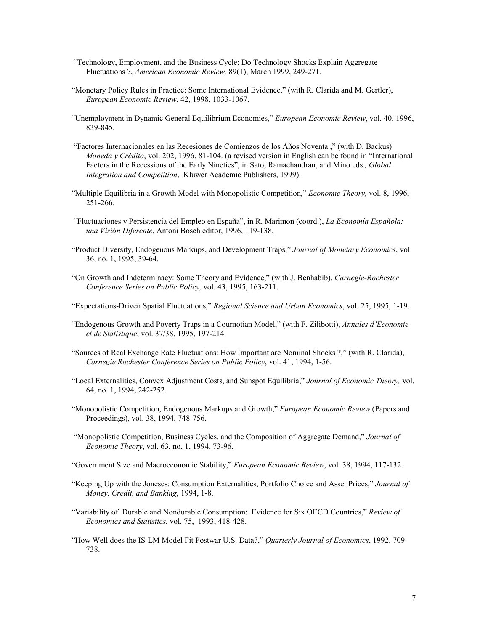- "Technology, Employment, and the Business Cycle: Do Technology Shocks Explain Aggregate Fluctuations ?, *American Economic Review,* 89(1), March 1999, 249-271.
- "Monetary Policy Rules in Practice: Some International Evidence," (with R. Clarida and M. Gertler), *European Economic Review*, 42, 1998, 1033-1067.
- "Unemployment in Dynamic General Equilibrium Economies," *European Economic Review*, vol. 40, 1996, 839-845.
- "Factores Internacionales en las Recesiones de Comienzos de los Años Noventa ," (with D. Backus) *Moneda y Crédito*, vol. 202, 1996, 81-104. (a revised version in English can be found in "International Factors in the Recessions of the Early Nineties", in Sato, Ramachandran, and Mino eds*., Global Integration and Competition*, Kluwer Academic Publishers, 1999).
- "Multiple Equilibria in a Growth Model with Monopolistic Competition," *Economic Theory*, vol. 8, 1996, 251-266.
- "Fluctuaciones y Persistencia del Empleo en España", in R. Marimon (coord.), *La Economía Española: una Visión Diferente*, Antoni Bosch editor, 1996, 119-138.
- "Product Diversity, Endogenous Markups, and Development Traps," *Journal of Monetary Economics*, vol 36, no. 1, 1995, 39-64.
- "On Growth and Indeterminacy: Some Theory and Evidence," (with J. Benhabib), *Carnegie-Rochester Conference Series on Public Policy,* vol. 43, 1995, 163-211.
- "Expectations-Driven Spatial Fluctuations," *Regional Science and Urban Economics*, vol. 25, 1995, 1-19.
- "Endogenous Growth and Poverty Traps in a Cournotian Model," (with F. Zilibotti), *Annales d'Economie et de Statistique*, vol. 37/38, 1995, 197-214.
- "Sources of Real Exchange Rate Fluctuations: How Important are Nominal Shocks ?," (with R. Clarida), *Carnegie Rochester Conference Series on Public Policy*, vol. 41, 1994, 1-56.
- "Local Externalities, Convex Adjustment Costs, and Sunspot Equilibria," *Journal of Economic Theory,* vol. 64, no. 1, 1994, 242-252.
- "Monopolistic Competition, Endogenous Markups and Growth," *European Economic Review* (Papers and Proceedings), vol. 38, 1994, 748-756.
- "Monopolistic Competition, Business Cycles, and the Composition of Aggregate Demand," *Journal of Economic Theory*, vol. 63, no. 1, 1994, 73-96.
- "Government Size and Macroeconomic Stability," *European Economic Review*, vol. 38, 1994, 117-132.
- "Keeping Up with the Joneses: Consumption Externalities, Portfolio Choice and Asset Prices," *Journal of Money, Credit, and Banking*, 1994, 1-8.
- "Variability of Durable and Nondurable Consumption: Evidence for Six OECD Countries," *Review of Economics and Statistics*, vol. 75, 1993, 418-428.
- "How Well does the IS-LM Model Fit Postwar U.S. Data?," *Quarterly Journal of Economics*, 1992, 709- 738.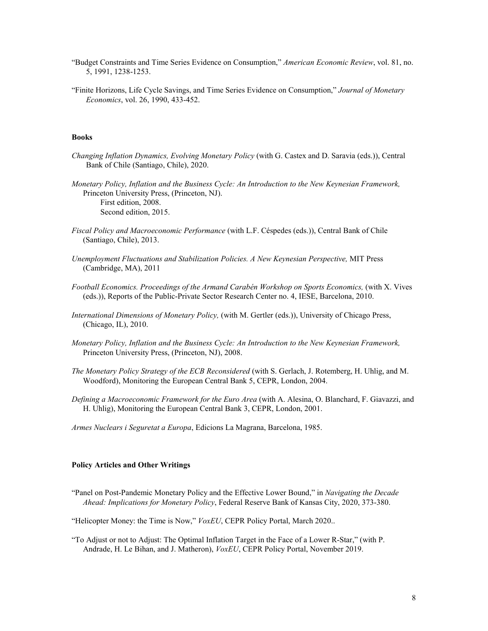- "Budget Constraints and Time Series Evidence on Consumption," *American Economic Review*, vol. 81, no. 5, 1991, 1238-1253.
- "Finite Horizons, Life Cycle Savings, and Time Series Evidence on Consumption," *Journal of Monetary Economics*, vol. 26, 1990, 433-452.

# **Books**

- *Changing Inflation Dynamics, Evolving Monetary Policy* (with G. Castex and D. Saravia (eds.)), Central Bank of Chile (Santiago, Chile), 2020.
- *Monetary Policy, Inflation and the Business Cycle: An Introduction to the New Keynesian Framework,*  Princeton University Press, (Princeton, NJ). First edition, 2008. Second edition, 2015.
- *Fiscal Policy and Macroeconomic Performance* (with L.F. Céspedes (eds.)), Central Bank of Chile (Santiago, Chile), 2013.
- *Unemployment Fluctuations and Stabilization Policies. A New Keynesian Perspective,* MIT Press (Cambridge, MA), 2011
- Football Economics. Proceedings of the Armand Carabén Workshop on Sports Economics, (with X. Vives (eds.)), Reports of the Public-Private Sector Research Center no. 4, IESE, Barcelona, 2010.
- *International Dimensions of Monetary Policy,* (with M. Gertler (eds.)), University of Chicago Press, (Chicago, IL), 2010.
- *Monetary Policy, Inflation and the Business Cycle: An Introduction to the New Keynesian Framework,*  Princeton University Press, (Princeton, NJ), 2008.
- *The Monetary Policy Strategy of the ECB Reconsidered* (with S. Gerlach, J. Rotemberg, H. Uhlig, and M. Woodford), Monitoring the European Central Bank 5, CEPR, London, 2004.
- *Defining a Macroeconomic Framework for the Euro Area* (with A. Alesina, O. Blanchard, F. Giavazzi, and H. Uhlig), Monitoring the European Central Bank 3, CEPR, London, 2001.
- *Armes Nuclears i Seguretat a Europa*, Edicions La Magrana, Barcelona, 1985.

# **Policy Articles and Other Writings**

- "Panel on Post-Pandemic Monetary Policy and the Effective Lower Bound," in *Navigating the Decade Ahead: Implications for Monetary Policy*, Federal Reserve Bank of Kansas City, 2020, 373-380.
- "Helicopter Money: the Time is Now," *VoxEU*, CEPR Policy Portal, March 2020..
- "To Adjust or not to Adjust: The Optimal Inflation Target in the Face of a Lower R-Star," (with P. Andrade, H. Le Bihan, and J. Matheron), *VoxEU*, CEPR Policy Portal, November 2019.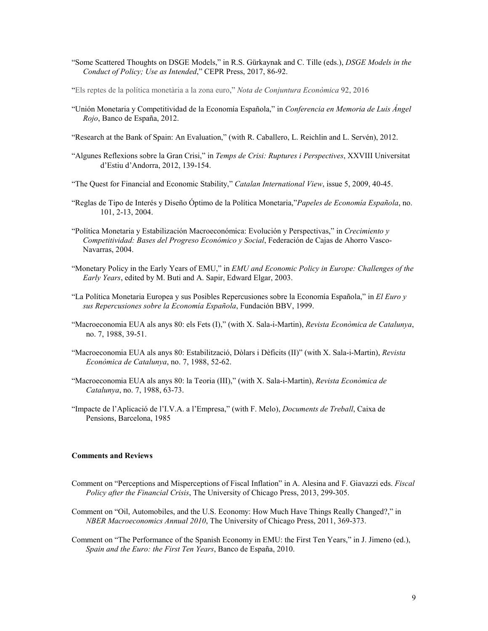"Some Scattered Thoughts on DSGE Models," in R.S. Gürkaynak and C. Tille (eds.), *DSGE Models in the Conduct of Policy; Use as Intended*," CEPR Press, 2017, 86-92.

["Els reptes de la política monetària a la zona euro,"](http://www.crei.cat/wp-content/uploads/2016/07/jg_NCE_2016.pdf) *Nota de Conjuntura Econòmica* 92, 2016

- "Unión Monetaria y Competitividad de la Economía Española," in *Conferencia en Memoria de Luis Ángel Rojo*, Banco de España, 2012.
- "Research at the Bank of Spain: An Evaluation," (with R. Caballero, L. Reichlin and L. Servén), 2012.
- "Algunes Reflexions sobre la Gran Crisi," in *Temps de Crisi: Ruptures i Perspectives*, XXVIII Universitat d'Estiu d'Andorra, 2012, 139-154.
- "The Quest for Financial and Economic Stability," *Catalan International View*, issue 5, 2009, 40-45.
- "Reglas de Tipo de Interés y Diseño Óptimo de la Política Monetaria,"*Papeles de Economía Española*, no. 101, 2-13, 2004.
- "Política Monetaria y Estabilización Macroeconómica: Evolución y Perspectivas," in *Crecimiento y Competitividad: Bases del Progreso Económico y Social*, Federación de Cajas de Ahorro Vasco-Navarras, 2004.
- "Monetary Policy in the Early Years of EMU," in *EMU and Economic Policy in Europe: Challenges of the Early Years*, edited by M. Buti and A. Sapir, Edward Elgar, 2003.
- "La Política Monetaria Europea y sus Posibles Repercusiones sobre la Economía Española," in *El Euro y sus Repercusiones sobre la Economía Española*, Fundación BBV, 1999.
- "Macroeconomia EUA als anys 80: els Fets (I)," (with X. Sala-i-Martin), *Revista Econòmica de Catalunya*, no. 7, 1988, 39-51.
- "Macroeconomia EUA als anys 80: Estabilització, Dòlars i Dèficits (II)" (with X. Sala-i-Martin), *Revista Econòmica de Catalunya*, no. 7, 1988, 52-62.
- "Macroeconomia EUA als anys 80: la Teoria (III)," (with X. Sala-i-Martin), *Revista Econòmica de Catalunya*, no. 7, 1988, 63-73.
- "Impacte de l'Aplicació de l'I.V.A. a l'Empresa," (with F. Melo), *Documents de Treball*, Caixa de Pensions, Barcelona, 1985

### **Comments and Reviews**

- Comment on "Perceptions and Misperceptions of Fiscal Inflation" in A. Alesina and F. Giavazzi eds. *Fiscal Policy after the Financial Crisis*, The University of Chicago Press, 2013, 299-305.
- Comment on "Oil, Automobiles, and the U.S. Economy: How Much Have Things Really Changed?," in *NBER Macroeconomics Annual 2010*, The University of Chicago Press, 2011, 369-373.
- Comment on "The Performance of the Spanish Economy in EMU: the First Ten Years," in J. Jimeno (ed.), *Spain and the Euro: the First Ten Years*, Banco de España, 2010.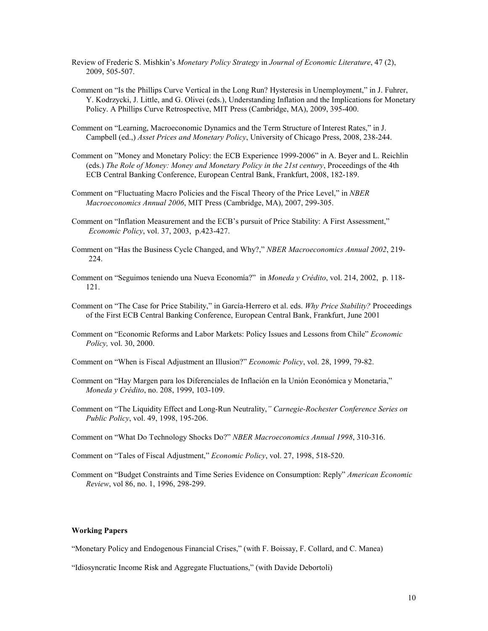- Review of Frederic S. Mishkin's *Monetary Policy Strategy* in *Journal of Economic Literature*, 47 (2), 2009, 505-507.
- Comment on "Is the Phillips Curve Vertical in the Long Run? Hysteresis in Unemployment," in J. Fuhrer, Y. Kodrzycki, J. Little, and G. Olivei (eds.), Understanding Inflation and the Implications for Monetary Policy. A Phillips Curve Retrospective, MIT Press (Cambridge, MA), 2009, 395-400.
- Comment on "Learning, Macroeconomic Dynamics and the Term Structure of Interest Rates," in J. Campbell (ed.,) *Asset Prices and Monetary Policy*, University of Chicago Press, 2008, 238-244.
- Comment on "Money and Monetary Policy: the ECB Experience 1999-2006" in A. Beyer and L. Reichlin (eds.) *The Role of Money: Money and Monetary Policy in the 21st century*, Proceedings of the 4th ECB Central Banking Conference, European Central Bank, Frankfurt, 2008, 182-189.
- Comment on "Fluctuating Macro Policies and the Fiscal Theory of the Price Level," in *NBER Macroeconomics Annual 2006*, MIT Press (Cambridge, MA), 2007, 299-305.
- Comment on "Inflation Measurement and the ECB's pursuit of Price Stability: A First Assessment," *Economic Policy*, vol. 37, 2003, p.423-427.
- Comment on "Has the Business Cycle Changed, and Why?," *NBER Macroeconomics Annual 2002*, 219- 224.
- Comment on "Seguimos teniendo una Nueva Economía?" in *Moneda y Crédito*, vol. 214, 2002, p. 118- 121.
- Comment on "The Case for Price Stability," in García-Herrero et al. eds. *Why Price Stability?* Proceedings of the First ECB Central Banking Conference, European Central Bank, Frankfurt, June 2001
- Comment on "Economic Reforms and Labor Markets: Policy Issues and Lessons from Chile" *Economic Policy,* vol. 30, 2000.
- Comment on "When is Fiscal Adjustment an Illusion?" *Economic Policy*, vol. 28, 1999, 79-82.
- Comment on "Hay Margen para los Diferenciales de Inflación en la Unión Económica y Monetaria," *Moneda y Crédito*, no. 208, 1999, 103-109.
- Comment on "The Liquidity Effect and Long-Run Neutrality,*" Carnegie-Rochester Conference Series on Public Policy*, vol. 49, 1998, 195-206.
- Comment on "What Do Technology Shocks Do?" *NBER Macroeconomics Annual 1998*, 310-316.
- Comment on "Tales of Fiscal Adjustment," *Economic Policy*, vol. 27, 1998, 518-520.
- Comment on "Budget Constraints and Time Series Evidence on Consumption: Reply" *American Economic Review*, vol 86, no. 1, 1996, 298-299.

# **Working Papers**

"Monetary Policy and Endogenous Financial Crises," (with F. Boissay, F. Collard, and C. Manea)

"Idiosyncratic Income Risk and Aggregate Fluctuations," (with Davide Debortoli)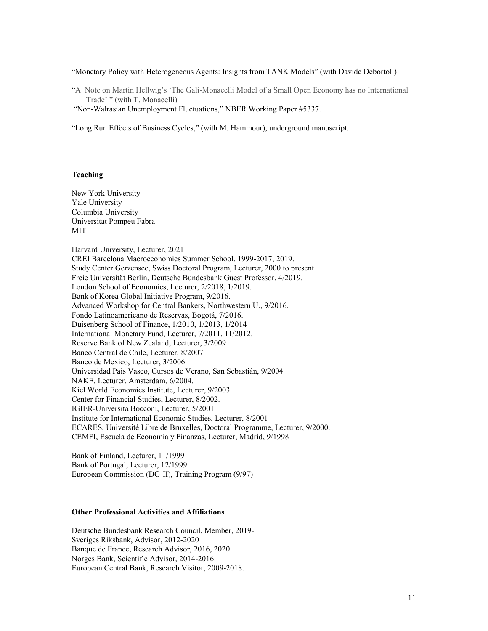"Monetary Policy with Heterogeneous Agents: Insights from TANK Models" (with Davide Debortoli)

["A Note on Martin Hellwig's 'The Gali-Monacelli Model of a Small Open Economy has no International](http://www.crei.cat/wp-content/uploads/users/pages/gm_note_hellwig.pdf)  [Trade' "](http://www.crei.cat/wp-content/uploads/users/pages/gm_note_hellwig.pdf) (with T. Monacelli)

"Non-Walrasian Unemployment Fluctuations," NBER Working Paper #5337.

"Long Run Effects of Business Cycles," (with M. Hammour), underground manuscript.

# **Teaching**

New York University Yale University Columbia University Universitat Pompeu Fabra MIT

Harvard University, Lecturer, 2021 CREI Barcelona Macroeconomics Summer School, 1999-2017, 2019. Study Center Gerzensee, Swiss Doctoral Program, Lecturer, 2000 to present Freie Universität Berlin, Deutsche Bundesbank Guest Professor, 4/2019. London School of Economics, Lecturer, 2/2018, 1/2019. Bank of Korea Global Initiative Program, 9/2016. Advanced Workshop for Central Bankers, Northwestern U., 9/2016. Fondo Latinoamericano de Reservas, Bogotá, 7/2016. Duisenberg School of Finance, 1/2010, 1/2013, 1/2014 International Monetary Fund, Lecturer, 7/2011, 11/2012. Reserve Bank of New Zealand, Lecturer, 3/2009 Banco Central de Chile, Lecturer, 8/2007 Banco de Mexico, Lecturer, 3/2006 Universidad Pais Vasco, Cursos de Verano, San Sebastián, 9/2004 NAKE, Lecturer, Amsterdam, 6/2004. Kiel World Economics Institute, Lecturer, 9/2003 Center for Financial Studies, Lecturer, 8/2002. IGIER-Universita Bocconi, Lecturer, 5/2001 Institute for International Economic Studies, Lecturer, 8/2001 ECARES, Université Libre de Bruxelles, Doctoral Programme, Lecturer, 9/2000. CEMFI, Escuela de Economía y Finanzas, Lecturer, Madrid, 9/1998

Bank of Finland, Lecturer, 11/1999 Bank of Portugal, Lecturer, 12/1999 European Commission (DG-II), Training Program (9/97)

# **Other Professional Activities and Affiliations**

Deutsche Bundesbank Research Council, Member, 2019- Sveriges Riksbank, Advisor, 2012-2020 Banque de France, Research Advisor, 2016, 2020. Norges Bank, Scientific Advisor, 2014-2016. European Central Bank, Research Visitor, 2009-2018.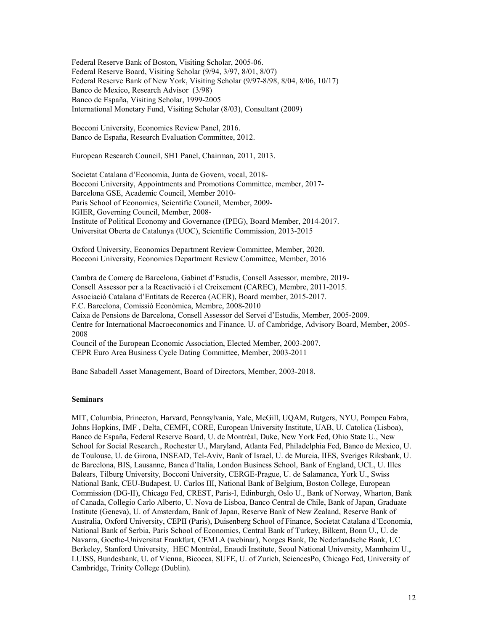Federal Reserve Bank of Boston, Visiting Scholar, 2005-06. Federal Reserve Board, Visiting Scholar (9/94, 3/97, 8/01, 8/07) Federal Reserve Bank of New York, Visiting Scholar (9/97-8/98, 8/04, 8/06, 10/17) Banco de Mexico, Research Advisor (3/98) Banco de España, Visiting Scholar, 1999-2005 International Monetary Fund, Visiting Scholar (8/03), Consultant (2009)

Bocconi University, Economics Review Panel, 2016. Banco de España, Research Evaluation Committee, 2012.

European Research Council, SH1 Panel, Chairman, 2011, 2013.

Societat Catalana d'Economia, Junta de Govern, vocal, 2018- Bocconi University, Appointments and Promotions Committee, member, 2017- Barcelona GSE, Academic Council, Member 2010- Paris School of Economics, Scientific Council, Member, 2009- IGIER, Governing Council, Member, 2008- Institute of Political Economy and Governance (IPEG), Board Member, 2014-2017. Universitat Oberta de Catalunya (UOC), Scientific Commission, 2013-2015

Oxford University, Economics Department Review Committee, Member, 2020. Bocconi University, Economics Department Review Committee, Member, 2016

Cambra de Comerç de Barcelona, Gabinet d'Estudis, Consell Assessor, membre, 2019- Consell Assessor per a la Reactivació i el Creixement (CAREC), Membre, 2011-2015. Associació Catalana d'Entitats de Recerca (ACER), Board member, 2015-2017. F.C. Barcelona, Comissió Econòmica, Membre, 2008-2010 Caixa de Pensions de Barcelona, Consell Assessor del Servei d'Estudis, Member, 2005-2009. Centre for International Macroeconomics and Finance, U. of Cambridge, Advisory Board, Member, 2005- 2008 Council of the European Economic Association, Elected Member, 2003-2007. CEPR Euro Area Business Cycle Dating Committee, Member, 2003-2011

Banc Sabadell Asset Management, Board of Directors, Member, 2003-2018.

### **Seminars**

MIT, Columbia, Princeton, Harvard, Pennsylvania, Yale, McGill, UQAM, Rutgers, NYU, Pompeu Fabra, Johns Hopkins, IMF , Delta, CEMFI, CORE, European University Institute, UAB, U. Catolica (Lisboa), Banco de España, Federal Reserve Board, U. de Montréal, Duke, New York Fed, Ohio State U., New School for Social Research., Rochester U., Maryland, Atlanta Fed, Philadelphia Fed, Banco de Mexico, U. de Toulouse, U. de Girona, INSEAD, Tel-Aviv, Bank of Israel, U. de Murcia, IIES, Sveriges Riksbank, U. de Barcelona, BIS, Lausanne, Banca d'Italia, London Business School, Bank of England, UCL, U. Illes Balears, Tilburg University, Bocconi University, CERGE-Prague, U. de Salamanca, York U., Swiss National Bank, CEU-Budapest, U. Carlos III, National Bank of Belgium, Boston College, European Commission (DG-II), Chicago Fed, CREST, Paris-I, Edinburgh, Oslo U., Bank of Norway, Wharton, Bank of Canada, Collegio Carlo Alberto, U. Nova de Lisboa, Banco Central de Chile, Bank of Japan, Graduate Institute (Geneva), U. of Amsterdam, Bank of Japan, Reserve Bank of New Zealand, Reserve Bank of Australia, Oxford University, CEPII (Paris), Duisenberg School of Finance, Societat Catalana d'Economia, National Bank of Serbia, Paris School of Economics, Central Bank of Turkey, Bilkent, Bonn U., U. de Navarra, Goethe-Universitat Frankfurt, CEMLA (webinar), Norges Bank, De Nederlandsche Bank, UC Berkeley, Stanford University, HEC Montréal, Enaudi Institute, Seoul National University, Mannheim U., LUISS, Bundesbank, U. of Vienna, Bicocca, SUFE, U. of Zurich, SciencesPo, Chicago Fed, University of Cambridge, Trinity College (Dublin).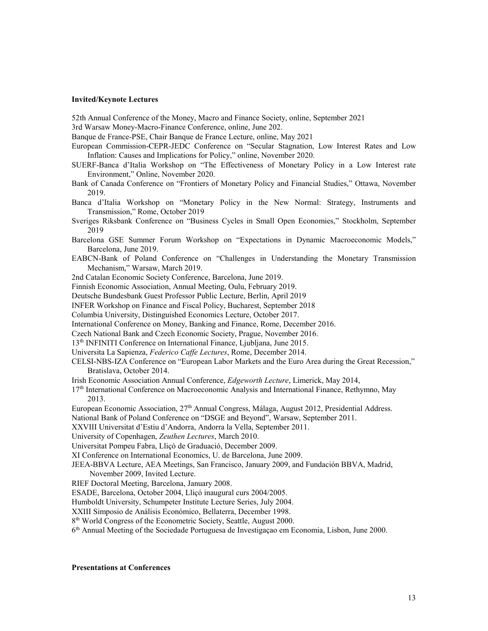#### **Invited/Keynote Lectures**

52th Annual Conference of the Money, Macro and Finance Society, online, September 2021

3rd Warsaw Money-Macro-Finance Conference, online, June 202.

Banque de France-PSE, Chair Banque de France Lecture, online, May 2021

- European Commission-CEPR-JEDC Conference on "Secular Stagnation, Low Interest Rates and Low Inflation: Causes and Implications for Policy," online, November 2020.
- SUERF-Banca d'Italia Workshop on "The Effectiveness of Monetary Policy in a Low Interest rate Environment," Online, November 2020.
- Bank of Canada Conference on "Frontiers of Monetary Policy and Financial Studies," Ottawa, November 2019.
- Banca d'Italia Workshop on "Monetary Policy in the New Normal: Strategy, Instruments and Transmission," Rome, October 2019
- Sveriges Riksbank Conference on "Business Cycles in Small Open Economies," Stockholm, September 2019
- Barcelona GSE Summer Forum Workshop on "Expectations in Dynamic Macroeconomic Models," Barcelona, June 2019.
- EABCN-Bank of Poland Conference on "Challenges in Understanding the Monetary Transmission Mechanism," Warsaw, March 2019.

2nd Catalan Economic Society Conference, Barcelona, June 2019.

Finnish Economic Association, Annual Meeting, Oulu, February 2019.

- Deutsche Bundesbank Guest Professor Public Lecture, Berlin, April 2019
- INFER Workshop on Finance and Fiscal Policy, Bucharest, September 2018

Columbia University, Distinguished Economics Lecture, October 2017.

- International Conference on Money, Banking and Finance, Rome, December 2016.
- Czech National Bank and Czech Economic Society, Prague, November 2016.
- 13th INFINITI Conference on International Finance, Ljubljana, June 2015.
- Universita La Sapienza, *Federico Caffe Lectures*, Rome, December 2014.
- CELSI-NBS-IZA Conference on "European Labor Markets and the Euro Area during the Great Recession," Bratislava, October 2014.
- Irish Economic Association Annual Conference, *Edgeworth Lecture*, Limerick, May 2014,
- 17th International Conference on Macroeconomic Analysis and International Finance, Rethymno, May 2013.
- European Economic Association, 27<sup>th</sup> Annual Congress, Málaga, August 2012, Presidential Address.
- National Bank of Poland Conference on "DSGE and Beyond", Warsaw, September 2011.
- XXVIII Universitat d'Estiu d'Andorra, Andorra la Vella, September 2011.
- University of Copenhagen, *Zeuthen Lectures*, March 2010.
- Universitat Pompeu Fabra, Lliçó de Graduació, December 2009.
- XI Conference on International Economics, U. de Barcelona, June 2009.
- JEEA-BBVA Lecture, AEA Meetings, San Francisco, January 2009, and Fundación BBVA, Madrid, November 2009, Invited Lecture.
- RIEF Doctoral Meeting, Barcelona, January 2008.
- ESADE, Barcelona, October 2004, Lliçó inaugural curs 2004/2005.

Humboldt University, Schumpeter Institute Lecture Series, July 2004.

- XXIII Simposio de Análisis Económico, Bellaterra, December 1998.
- 8<sup>th</sup> World Congress of the Econometric Society, Seattle, August 2000.
- 6th Annual Meeting of the Sociedade Portuguesa de Investigaçao em Economia, Lisbon, June 2000.

#### **Presentations at Conferences**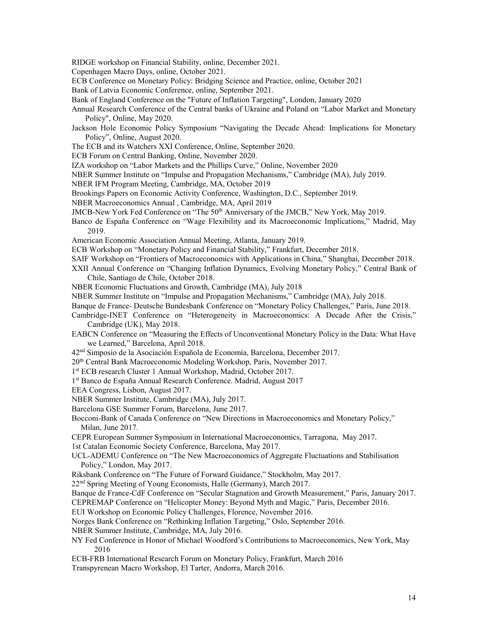RIDGE workshop on Financial Stability, online, December 2021.

- Copenhagen Macro Days, online, October 2021.
- ECB Conference on Monetary Policy: Bridging Science and Practice, online, October 2021
- Bank of Latvia Economic Conference, online, September 2021.
- Bank of England Conference on the "Future of Inflation Targeting", London, January 2020
- Annual Research Conference of the Central banks of Ukraine and Poland on "Labor Market and Monetary Policy", Online, May 2020.
- Jackson Hole Economic Policy Symposium "Navigating the Decade Ahead: Implications for Monetary Policy", Online, August 2020.
- The ECB and its Watchers XXI Conference, Online, September 2020.
- ECB Forum on Central Banking, Online, November 2020.
- IZA workshop on "Labor Markets and the Phillips Curve," Online, November 2020
- NBER Summer Institute on "Impulse and Propagation Mechanisms," Cambridge (MA), July 2019.
- NBER IFM Program Meeting, Cambridge, MA, October 2019
- Brookings Papers on Economic Activity Conference, Washington, D.C., September 2019.
- NBER Macroeconomics Annual , Cambridge, MA, April 2019
- JMCB-New York Fed Conference on "The 50<sup>th</sup> Anniversary of the JMCB," New York, May 2019.
- Banco de España Conference on "Wage Flexibility and its Macroeconomic Implications," Madrid, May 2019.
- American Economic Association Annual Meeting, Atlanta, January 2019.
- ECB Workshop on "Monetary Policy and Financial Stability," Frankfurt, December 2018.
- SAIF Workshop on "Frontiers of Macroeconomics with Applications in China," Shanghai, December 2018.
- XXII Annual Conference on "Changing Inflation Dynamics, Evolving Monetary Policy," Central Bank of Chile, Santiago de Chile, October 2018.
- NBER Economic Fluctuations and Growth, Cambridge (MA), July 2018
- NBER Summer Institute on "Impulse and Propagation Mechanisms," Cambridge (MA), July 2018.
- Banque de France- Deutsche Bundesbank Conference on "Monetary Policy Challenges," Paris, June 2018.
- Cambridge-INET Conference on "Heterogeneity in Macroeconomics: A Decade After the Crisis," Cambridge (UK), May 2018.
- EABCN Conference on "Measuring the Effects of Unconventional Monetary Policy in the Data: What Have we Learned," Barcelona, April 2018.
- 42nd Simposio de la Asociación Española de Economía, Barcelona, December 2017.
- 20th Central Bank Macroeconomic Modeling Workshop, Paris, November 2017.
- 1st ECB research Cluster 1 Annual Workshop, Madrid, October 2017.
- 1st Banco de España Annual Research Conference. Madrid, August 2017
- EEA Congress, Lisbon, August 2017.
- NBER Summer Institute, Cambridge (MA), July 2017.
- Barcelona GSE Summer Forum, Barcelona, June 2017.
- Bocconi-Bank of Canada Conference on "New Directions in Macroeconomics and Monetary Policy," Milan, June 2017.
- CEPR European Summer Symposium in International Macroeconomics, Tarragona, May 2017.
- 1st Catalan Economic Society Conference, Barcelona, May 2017.
- UCL-ADEMU Conference on "The New Macroeconomics of Aggregate Fluctuations and Stabilisation Policy," London, May 2017.
- Riksbank Conference on "The Future of Forward Guidance," Stockholm, May 2017.
- 22<sup>nd</sup> Spring Meeting of Young Economists, Halle (Germany), March 2017.
- Banque de France-CdF Conference on "Secular Stagnation and Growth Measurement," Paris, January 2017.
- CEPREMAP Conference on "Helicopter Money: Beyond Myth and Magic," Paris, December 2016.
- EUI Workshop on Economic Policy Challenges, Florence, November 2016.
- Norges Bank Conference on "Rethinking Inflation Targeting," Oslo, September 2016.
- NBER Summer Institute, Cambridge, MA, July 2016.
- NY Fed Conference in Honor of Michael Woodford's Contributions to Macroeconomics, New York, May 2016
- ECB-FRB International Research Forum on Monetary Policy, Frankfurt, March 2016
- Transpyrenean Macro Workshop, El Tarter, Andorra, March 2016.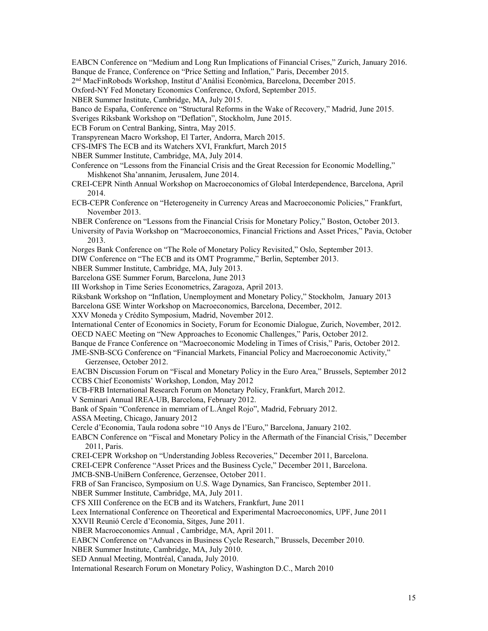EABCN Conference on "Medium and Long Run Implications of Financial Crises," Zurich, January 2016. Banque de France, Conference on "Price Setting and Inflation," Paris, December 2015.

2nd MacFinRobods Workshop, Institut d'Anàlisi Econòmica, Barcelona, December 2015.

Oxford-NY Fed Monetary Economics Conference, Oxford, September 2015.

NBER Summer Institute, Cambridge, MA, July 2015.

Banco de España, Conference on "Structural Reforms in the Wake of Recovery," Madrid, June 2015.

Sveriges Riksbank Workshop on "Deflation", Stockholm, June 2015.

ECB Forum on Central Banking, Sintra, May 2015.

Transpyrenean Macro Workshop, El Tarter, Andorra, March 2015.

CFS-IMFS The ECB and its Watchers XVI, Frankfurt, March 2015

NBER Summer Institute, Cambridge, MA, July 2014.

Conference on "Lessons from the Financial Crisis and the Great Recession for Economic Modelling," Mishkenot Sha'annanim, Jerusalem, June 2014.

CREI-CEPR Ninth Annual Workshop on Macroeconomics of Global Interdependence, Barcelona, April 2014.

ECB-CEPR Conference on "Heterogeneity in Currency Areas and Macroeconomic Policies," Frankfurt, November 2013.

NBER Conference on "Lessons from the Financial Crisis for Monetary Policy," Boston, October 2013.

- University of Pavia Workshop on "Macroeconomics, Financial Frictions and Asset Prices," Pavia, October 2013.
- Norges Bank Conference on "The Role of Monetary Policy Revisited," Oslo, September 2013.

DIW Conference on "The ECB and its OMT Programme," Berlin, September 2013.

NBER Summer Institute, Cambridge, MA, July 2013.

Barcelona GSE Summer Forum, Barcelona, June 2013

III Workshop in Time Series Econometrics, Zaragoza, April 2013.

Riksbank Workshop on "Inflation, Unemployment and Monetary Policy," Stockholm, January 2013

Barcelona GSE Winter Workshop on Macroeconomics, Barcelona, December, 2012.

XXV Moneda y Crédito Symposium, Madrid, November 2012.

International Center of Economics in Society, Forum for Economic Dialogue, Zurich, November, 2012.

OECD NAEC Meeting on "New Approaches to Economic Challenges," Paris, October 2012.

Banque de France Conference on "Macroeconomic Modeling in Times of Crisis," Paris, October 2012.

JME-SNB-SCG Conference on "Financial Markets, Financial Policy and Macroeconomic Activity," Gerzensee, October 2012.

EACBN Discussion Forum on "Fiscal and Monetary Policy in the Euro Area," Brussels, September 2012 CCBS Chief Economists' Workshop, London, May 2012

ECB-FRB International Research Forum on Monetary Policy, Frankfurt, March 2012.

V Seminari Annual IREA-UB, Barcelona, February 2012.

Bank of Spain "Conference in memriam of L.Ángel Rojo", Madrid, February 2012.

ASSA Meeting, Chicago, January 2012

Cercle d'Economia, Taula rodona sobre "10 Anys de l'Euro," Barcelona, January 2102.

EABCN Conference on "Fiscal and Monetary Policy in the Aftermath of the Financial Crisis," December 2011, Paris.

CREI-CEPR Workshop on "Understanding Jobless Recoveries," December 2011, Barcelona.

CREI-CEPR Conference "Asset Prices and the Business Cycle," December 2011, Barcelona.

JMCB-SNB-UniBern Conference, Gerzensee, October 2011.

FRB of San Francisco, Symposium on U.S. Wage Dynamics, San Francisco, September 2011.

NBER Summer Institute, Cambridge, MA, July 2011.

CFS XIII Conference on the ECB and its Watchers, Frankfurt, June 2011

Leex International Conference on Theoretical and Experimental Macroeconomics, UPF, June 2011

XXVII Reunió Cercle d'Economia, Sitges, June 2011.

NBER Macroeconomics Annual , Cambridge, MA, April 2011.

EABCN Conference on "Advances in Business Cycle Research," Brussels, December 2010.

NBER Summer Institute, Cambridge, MA, July 2010.

SED Annual Meeting, Montréal, Canada, July 2010.

International Research Forum on Monetary Policy, Washington D.C., March 2010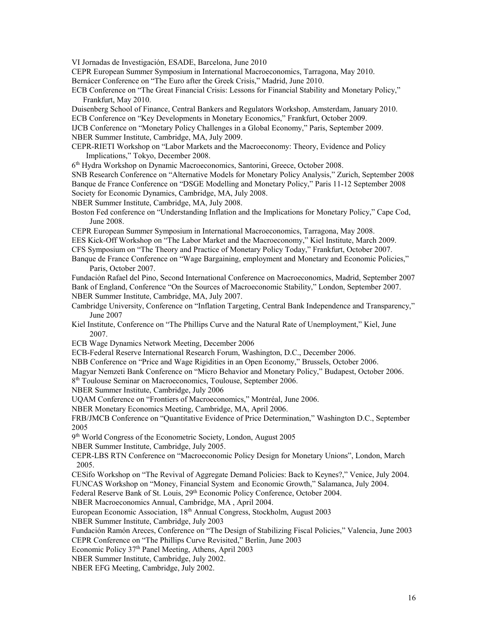VI Jornadas de Investigación, ESADE, Barcelona, June 2010

CEPR European Summer Symposium in International Macroeconomics, Tarragona, May 2010. Bernácer Conference on "The Euro after the Greek Crisis," Madrid, June 2010.

ECB Conference on "The Great Financial Crisis: Lessons for Financial Stability and Monetary Policy," Frankfurt, May 2010.

Duisenberg School of Finance, Central Bankers and Regulators Workshop, Amsterdam, January 2010. ECB Conference on "Key Developments in Monetary Economics," Frankfurt, October 2009.

IJCB Conference on "Monetary Policy Challenges in a Global Economy," Paris, September 2009. NBER Summer Institute, Cambridge, MA, July 2009.

CEPR-RIETI Workshop on "Labor Markets and the Macroeconomy: Theory, Evidence and Policy Implications," Tokyo, December 2008.

6th Hydra Workshop on Dynamic Macroeconomics, Santorini, Greece, October 2008.

SNB Research Conference on "Alternative Models for Monetary Policy Analysis," Zurich, September 2008 Banque de France Conference on "DSGE Modelling and Monetary Policy," Paris 11-12 September 2008 Society for Economic Dynamics, Cambridge, MA, July 2008.

NBER Summer Institute, Cambridge, MA, July 2008.

Boston Fed conference on "Understanding Inflation and the Implications for Monetary Policy," Cape Cod, June 2008.

CEPR European Summer Symposium in International Macroeconomics, Tarragona, May 2008.

EES Kick-Off Workshop on "The Labor Market and the Macroeconomy," Kiel Institute, March 2009.

CFS Symposium on "The Theory and Practice of Monetary Policy Today," Frankfurt, October 2007.

Banque de France Conference on "Wage Bargaining, employment and Monetary and Economic Policies," Paris, October 2007.

Fundación Rafael del Pino, Second International Conference on Macroeconomics, Madrid, September 2007 Bank of England, Conference "On the Sources of Macroeconomic Stability," London, September 2007. NBER Summer Institute, Cambridge, MA, July 2007.

Cambridge University, Conference on "Inflation Targeting, Central Bank Independence and Transparency," June 2007

Kiel Institute, Conference on "The Phillips Curve and the Natural Rate of Unemployment," Kiel, June 2007.

ECB Wage Dynamics Network Meeting, December 2006

ECB-Federal Reserve International Research Forum, Washington, D.C., December 2006.

NBB Conference on "Price and Wage Rigidities in an Open Economy," Brussels, October 2006.

Magyar Nemzeti Bank Conference on "Micro Behavior and Monetary Policy," Budapest, October 2006.

8th Toulouse Seminar on Macroeconomics, Toulouse, September 2006.

NBER Summer Institute, Cambridge, July 2006

UQAM Conference on "Frontiers of Macroeconomics," Montréal, June 2006.

NBER Monetary Economics Meeting, Cambridge, MA, April 2006.

FRB/JMCB Conference on "Quantitative Evidence of Price Determination," Washington D.C., September 2005

9th World Congress of the Econometric Society, London, August 2005

NBER Summer Institute, Cambridge, July 2005.

CEPR-LBS RTN Conference on "Macroeconomic Policy Design for Monetary Unions", London, March 2005.

CESifo Workshop on "The Revival of Aggregate Demand Policies: Back to Keynes?," Venice, July 2004. FUNCAS Workshop on "Money, Financial System and Economic Growth," Salamanca, July 2004.

Federal Reserve Bank of St. Louis, 29<sup>th</sup> Economic Policy Conference, October 2004.

NBER Macroeconomics Annual, Cambridge, MA , April 2004.

European Economic Association, 18th Annual Congress, Stockholm, August 2003

NBER Summer Institute, Cambridge, July 2003

Fundación Ramón Areces, Conference on "The Design of Stabilizing Fiscal Policies," Valencia, June 2003 CEPR Conference on "The Phillips Curve Revisited," Berlin, June 2003

Economic Policy 37<sup>th</sup> Panel Meeting, Athens, April 2003

NBER Summer Institute, Cambridge, July 2002.

NBER EFG Meeting, Cambridge, July 2002.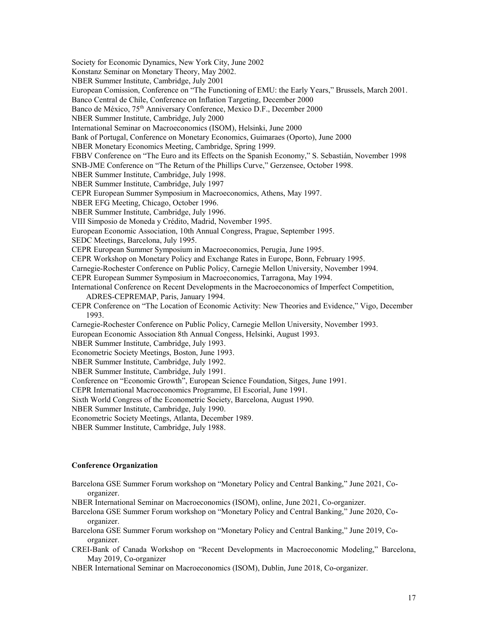Society for Economic Dynamics, New York City, June 2002 Konstanz Seminar on Monetary Theory, May 2002. NBER Summer Institute, Cambridge, July 2001 European Comission, Conference on "The Functioning of EMU: the Early Years," Brussels, March 2001. Banco Central de Chile, Conference on Inflation Targeting, December 2000 Banco de México, 75<sup>th</sup> Anniversary Conference, Mexico D.F., December 2000 NBER Summer Institute, Cambridge, July 2000 International Seminar on Macroeconomics (ISOM), Helsinki, June 2000 Bank of Portugal, Conference on Monetary Economics, Guimaraes (Oporto), June 2000 NBER Monetary Economics Meeting, Cambridge, Spring 1999. FBBV Conference on "The Euro and its Effects on the Spanish Economy," S. Sebastián, November 1998 SNB-JME Conference on "The Return of the Phillips Curve," Gerzensee, October 1998. NBER Summer Institute, Cambridge, July 1998. NBER Summer Institute, Cambridge, July 1997 CEPR European Summer Symposium in Macroeconomics, Athens, May 1997. NBER EFG Meeting, Chicago, October 1996. NBER Summer Institute, Cambridge, July 1996. VIII Simposio de Moneda y Crédito, Madrid, November 1995. European Economic Association, 10th Annual Congress, Prague, September 1995. SEDC Meetings, Barcelona, July 1995. CEPR European Summer Symposium in Macroeconomics, Perugia, June 1995. CEPR Workshop on Monetary Policy and Exchange Rates in Europe, Bonn, February 1995. Carnegie-Rochester Conference on Public Policy, Carnegie Mellon University, November 1994. CEPR European Summer Symposium in Macroeconomics, Tarragona, May 1994. International Conference on Recent Developments in the Macroeconomics of Imperfect Competition, ADRES-CEPREMAP, Paris, January 1994. CEPR Conference on "The Location of Economic Activity: New Theories and Evidence," Vigo, December 1993. Carnegie-Rochester Conference on Public Policy, Carnegie Mellon University, November 1993. European Economic Association 8th Annual Congess, Helsinki, August 1993. NBER Summer Institute, Cambridge, July 1993. Econometric Society Meetings, Boston, June 1993. NBER Summer Institute, Cambridge, July 1992. NBER Summer Institute, Cambridge, July 1991. Conference on "Economic Growth", European Science Foundation, Sitges, June 1991. CEPR International Macroeconomics Programme, El Escorial, June 1991. Sixth World Congress of the Econometric Society, Barcelona, August 1990. NBER Summer Institute, Cambridge, July 1990. Econometric Society Meetings, Atlanta, December 1989. NBER Summer Institute, Cambridge, July 1988.

# **Conference Organization**

Barcelona GSE Summer Forum workshop on "Monetary Policy and Central Banking," June 2021, Coorganizer.

NBER International Seminar on Macroeconomics (ISOM), online, June 2021, Co-organizer.

- Barcelona GSE Summer Forum workshop on "Monetary Policy and Central Banking," June 2020, Coorganizer.
- Barcelona GSE Summer Forum workshop on "Monetary Policy and Central Banking," June 2019, Coorganizer.
- CREI-Bank of Canada Workshop on "Recent Developments in Macroeconomic Modeling," Barcelona, May 2019, Co-organizer

NBER International Seminar on Macroeconomics (ISOM), Dublin, June 2018, Co-organizer.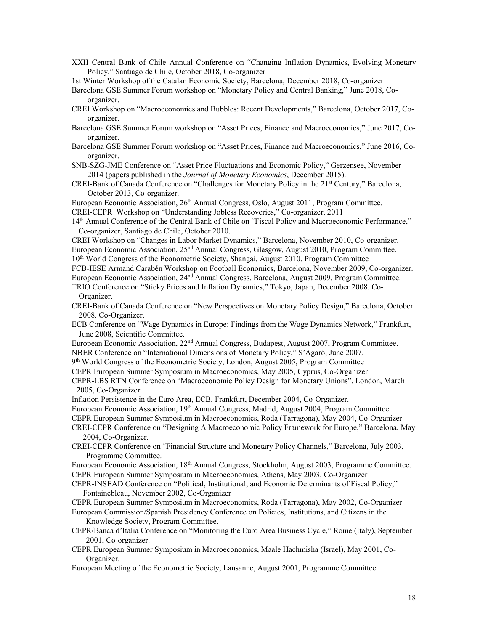- XXII Central Bank of Chile Annual Conference on "Changing Inflation Dynamics, Evolving Monetary Policy," Santiago de Chile, October 2018, Co-organizer
- 1st Winter Workshop of the Catalan Economic Society, Barcelona, December 2018, Co-organizer
- Barcelona GSE Summer Forum workshop on "Monetary Policy and Central Banking," June 2018, Coorganizer.
- CREI Workshop on "Macroeconomics and Bubbles: Recent Developments," Barcelona, October 2017, Coorganizer.
- Barcelona GSE Summer Forum workshop on "Asset Prices, Finance and Macroeconomics," June 2017, Coorganizer.
- Barcelona GSE Summer Forum workshop on "Asset Prices, Finance and Macroeconomics," June 2016, Coorganizer.
- SNB-SZG-JME Conference on "Asset Price Fluctuations and Economic Policy," Gerzensee, November 2014 (papers published in the *Journal of Monetary Economics*, December 2015).
- CREI-Bank of Canada Conference on "Challenges for Monetary Policy in the 21<sup>st</sup> Century," Barcelona, October 2013, Co-organizer.

European Economic Association, 26<sup>th</sup> Annual Congress, Oslo, August 2011, Program Committee.

CREI-CEPR Workshop on "Understanding Jobless Recoveries," Co-organizer, 2011

- 14th Annual Conference of the Central Bank of Chile on "Fiscal Policy and Macroeconomic Performance," Co-organizer, Santiago de Chile, October 2010.
- CREI Workshop on "Changes in Labor Market Dynamics," Barcelona, November 2010, Co-organizer.
- European Economic Association, 25nd Annual Congress, Glasgow, August 2010, Program Committee.
- 10<sup>th</sup> World Congress of the Econometric Society, Shangai, August 2010, Program Committee
- FCB-IESE Armand Carabén Workshop on Football Economics, Barcelona, November 2009, Co-organizer.
- European Economic Association, 24nd Annual Congress, Barcelona, August 2009, Program Committee. TRIO Conference on "Sticky Prices and Inflation Dynamics," Tokyo, Japan, December 2008. Co-Organizer.
- CREI-Bank of Canada Conference on "New Perspectives on Monetary Policy Design," Barcelona, October 2008. Co-Organizer.
- ECB Conference on "Wage Dynamics in Europe: Findings from the Wage Dynamics Network," Frankfurt, June 2008, Scientific Committee.
- European Economic Association, 22nd Annual Congress, Budapest, August 2007, Program Committee. NBER Conference on "International Dimensions of Monetary Policy," S'Agaró, June 2007.
- 9th World Congress of the Econometric Society, London, August 2005, Program Committee
- CEPR European Summer Symposium in Macroeconomics, May 2005, Cyprus, Co-Organizer
- CEPR-LBS RTN Conference on "Macroeconomic Policy Design for Monetary Unions", London, March 2005, Co-Organizer.
- Inflation Persistence in the Euro Area, ECB, Frankfurt, December 2004, Co-Organizer.
- European Economic Association, 19<sup>th</sup> Annual Congress, Madrid, August 2004, Program Committee.
- CEPR European Summer Symposium in Macroeconomics, Roda (Tarragona), May 2004, Co-Organizer
- CREI-CEPR Conference on "Designing A Macroeconomic Policy Framework for Europe," Barcelona, May 2004, Co-Organizer.
- CREI-CEPR Conference on "Financial Structure and Monetary Policy Channels," Barcelona, July 2003, Programme Committee.
- European Economic Association, 18th Annual Congress, Stockholm, August 2003, Programme Committee. CEPR European Summer Symposium in Macroeconomics, Athens, May 2003, Co-Organizer
- CEPR-INSEAD Conference on "Political, Institutional, and Economic Determinants of Fiscal Policy," Fontainebleau, November 2002, Co-Organizer
- CEPR European Summer Symposium in Macroeconomics, Roda (Tarragona), May 2002, Co-Organizer
- European Commission/Spanish Presidency Conference on Policies, Institutions, and Citizens in the Knowledge Society, Program Committee.
- CEPR/Banca d'Italia Conference on "Monitoring the Euro Area Business Cycle," Rome (Italy), September 2001, Co-organizer.
- CEPR European Summer Symposium in Macroeconomics, Maale Hachmisha (Israel), May 2001, Co-Organizer.
- European Meeting of the Econometric Society, Lausanne, August 2001, Programme Committee.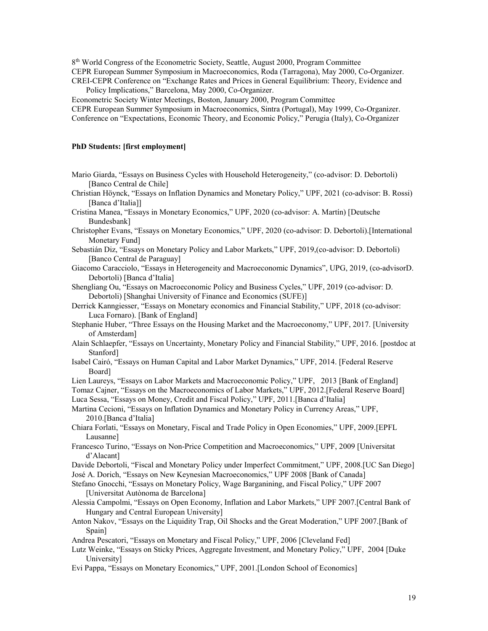8<sup>th</sup> World Congress of the Econometric Society, Seattle, August 2000, Program Committee

CEPR European Summer Symposium in Macroeconomics, Roda (Tarragona), May 2000, Co-Organizer.

CREI-CEPR Conference on "Exchange Rates and Prices in General Equilibrium: Theory, Evidence and Policy Implications," Barcelona, May 2000, Co-Organizer.

Econometric Society Winter Meetings, Boston, January 2000, Program Committee

CEPR European Summer Symposium in Macroeconomics, Sintra (Portugal), May 1999, Co-Organizer. Conference on "Expectations, Economic Theory, and Economic Policy," Perugia (Italy), Co-Organizer

# **PhD Students: [first employment]**

- Mario Giarda, "Essays on Business Cycles with Household Heterogeneity," (co-advisor: D. Debortoli) [Banco Central de Chile]
- Christian Höynck, "Essays on Inflation Dynamics and Monetary Policy," UPF, 2021 (co-advisor: B. Rossi) [Banca d'Italia]]
- Cristina Manea, "Essays in Monetary Economics," UPF, 2020 (co-advisor: A. Martín) [Deutsche Bundesbank]
- Christopher Evans, "Essays on Monetary Economics," UPF, 2020 (co-advisor: D. Debortoli).[International Monetary Fund]
- Sebastián Diz, "Essays on Monetary Policy and Labor Markets," UPF, 2019,(co-advisor: D. Debortoli) [Banco Central de Paraguay]
- Giacomo Caracciolo, "Essays in Heterogeneity and Macroeconomic Dynamics", UPG, 2019, (co-advisorD. Debortoli) [Banca d'Italia]
- Shengliang Ou, "Essays on Macroeconomic Policy and Business Cycles," UPF, 2019 (co-advisor: D. Debortoli) [Shanghai University of Finance and Economics (SUFE)]
- Derrick Kanngiesser, "Essays on Monetary economics and Financial Stability," UPF, 2018 (co-advisor: Luca Fornaro). [Bank of England]
- Stephanie Huber, "Three Essays on the Housing Market and the Macroeconomy," UPF, 2017. [University of Amsterdam]
- Alain Schlaepfer, "Essays on Uncertainty, Monetary Policy and Financial Stability," UPF, 2016. [postdoc at Stanford]
- Isabel Cairó, "Essays on Human Capital and Labor Market Dynamics," UPF, 2014. [Federal Reserve Board]
- Lien Laureys, "Essays on Labor Markets and Macroeconomic Policy," UPF, 2013 [Bank of England]
- Tomaz Cajner, "Essays on the Macroeconomics of Labor Markets," UPF, 2012.[Federal Reserve Board] Luca Sessa, "Essays on Money, Credit and Fiscal Policy," UPF, 2011.[Banca d'Italia]

Martina Cecioni, "Essays on Inflation Dynamics and Monetary Policy in Currency Areas," UPF, 2010.[Banca d'Italia]

- Chiara Forlati, "Essays on Monetary, Fiscal and Trade Policy in Open Economies," UPF, 2009.[EPFL Lausanne]
- Francesco Turino, "Essays on Non-Price Competition and Macroeconomics," UPF, 2009 [Universitat d'Alacant]
- Davide Debortoli, "Fiscal and Monetary Policy under Imperfect Commitment," UPF, 2008.[UC San Diego] José A. Dorich, "Essays on New Keynesian Macroeconomics," UPF 2008 [Bank of Canada]

- Stefano Gnocchi, "Essays on Monetary Policy, Wage Barganining, and Fiscal Policy," UPF 2007 [Universitat Autònoma de Barcelona]
- Alessia Campolmi, "Essays on Open Economy, Inflation and Labor Markets," UPF 2007.[Central Bank of Hungary and Central European University]
- Anton Nakov, "Essays on the Liquidity Trap, Oil Shocks and the Great Moderation," UPF 2007.[Bank of Spain]
- Andrea Pescatori, "Essays on Monetary and Fiscal Policy," UPF, 2006 [Cleveland Fed]
- Lutz Weinke, "Essays on Sticky Prices, Aggregate Investment, and Monetary Policy," UPF, 2004 [Duke University]
- Evi Pappa, "Essays on Monetary Economics," UPF, 2001.[London School of Economics]